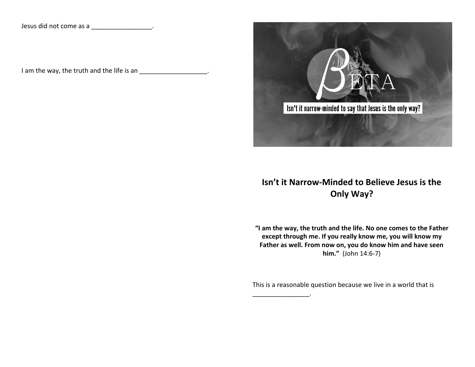Jesus did not come as a \_\_\_\_\_\_\_\_\_\_\_\_\_\_\_\_\_\_\_.

I am the way, the truth and the life is an \_\_\_\_\_\_\_\_\_\_\_\_\_\_\_\_\_\_\_\_.



## **Isn't it Narrow-Minded to Believe Jesus is the Only Way?**

**"I am the way, the truth and the life. No one comes to the Father except through me. If you really know me, you will know my Father as well. From now on, you do know him and have seen him."** (John 14:6-7)

This is a reasonable question because we live in a world that is

\_\_\_\_\_\_\_\_\_\_\_\_\_\_\_\_.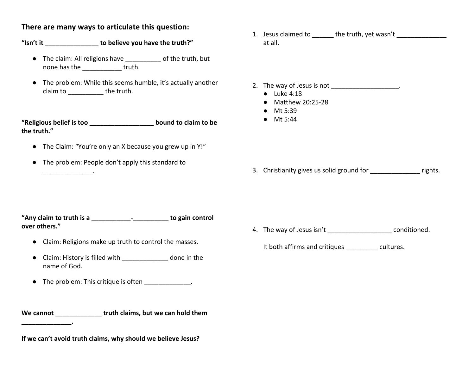## **There are many ways to articulate this question:**

## **"Isn't it \_\_\_\_\_\_\_\_\_\_\_\_\_\_\_ to believe you have the truth?"**

- The claim: All religions have \_\_\_\_\_\_\_\_\_\_ of the truth, but none has the truth.
- The problem: While this seems humble, it's actually another claim to **the truth.**

**"Religious belief is too \_\_\_\_\_\_\_\_\_\_\_\_\_\_\_\_\_\_ bound to claim to be the truth."**

- The Claim: "You're only an X because you grew up in Y!"
- The problem: People don't apply this standard to

1. Jesus claimed to \_\_\_\_\_\_\_ the truth, yet wasn't \_\_\_\_\_\_\_\_\_\_\_\_\_\_\_ at all.

2. The way of Jesus is not

- Luke 4:18
- Matthew 20:25-28
- Mt 5:39

3. Christianity gives us solid ground for Theorem and School rights.

- **"Any claim to truth is a \_\_\_\_\_\_\_\_\_\_\_-\_\_\_\_\_\_\_\_\_\_ to gain control over others."**
	- Claim: Religions make up truth to control the masses.
	- Claim: History is filled with \_\_\_\_\_\_\_\_\_\_\_\_\_ done in the name of God.
	- The problem: This critique is often \_\_\_\_\_\_\_\_\_\_\_\_\_.

We cannot **We cannot we can hold them** 

**If we can't avoid truth claims, why should we believe Jesus?**

**\_\_\_\_\_\_\_\_\_\_\_\_\_\_.**

\_\_\_\_\_\_\_\_\_\_\_\_\_\_.

4. The way of Jesus isn't \_\_\_\_\_\_\_\_\_\_\_\_\_\_\_\_\_\_\_\_\_\_\_\_\_\_ conditioned.

It both affirms and critiques example that cultures.

● Mt 5:44